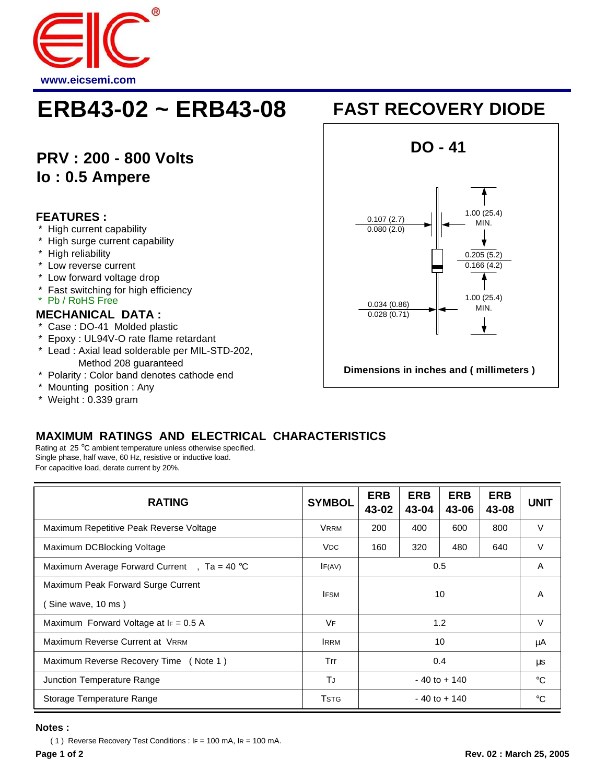

# **ERB43-02 ~ ERB43-08 FAST RECOVERY DIODE**

## **PRV : 200 - 800 Volts Io : 0.5 Ampere**

#### **FEATURES :**

- High current capability
- High surge current capability
- \* High reliability
- Low reverse current
- \* Low forward voltage drop
- \* Fast switching for high efficiency
- \* Pb / RoHS Free

#### **MECHANICAL DATA :**

- \* Case : DO-41 Molded plastic
- \* Epoxy : UL94V-O rate flame retardant
- \* Lead : Axial lead solderable per MIL-STD-202, Method 208 guaranteed
- \* Polarity : Color band denotes cathode end
- \* Mounting position : Any
- \* Weight : 0.339 gram



### **MAXIMUM RATINGS AND ELECTRICAL CHARACTERISTICS**

Rating at 25 °C ambient temperature unless otherwise specified. Single phase, half wave, 60 Hz, resistive or inductive load. For capacitive load, derate current by 20%.

| <b>RATING</b>                                            | <b>SYMBOL</b>         | <b>ERB</b><br>43-02 | <b>ERB</b><br>43-04 | <b>ERB</b><br>43-06 | <b>ERB</b><br>43-08 | <b>UNIT</b> |
|----------------------------------------------------------|-----------------------|---------------------|---------------------|---------------------|---------------------|-------------|
| Maximum Repetitive Peak Reverse Voltage                  | <b>VRRM</b>           | 200                 | 400                 | 600                 | 800                 | $\vee$      |
| Maximum DCBlocking Voltage                               | <b>V<sub>DC</sub></b> | 160                 | 320                 | 480                 | 640                 | $\vee$      |
| Maximum Average Forward Current, $\bar{a} = 40^{\circ}C$ | IF(AV)                | 0.5                 |                     |                     |                     | A           |
| Maximum Peak Forward Surge Current<br>Sine wave, 10 ms)  | <b>IFSM</b>           | 10                  |                     |                     |                     | A           |
| Maximum Forward Voltage at $I_F = 0.5$ A                 | VF                    | 1.2                 |                     |                     |                     | $\vee$      |
| Maximum Reverse Current at VRRM                          | <b>IRRM</b>           | 10                  |                     |                     |                     | μA          |
| Maximum Reverse Recovery Time (Note 1)                   | Trr                   | 0.4                 |                     |                     |                     | μs          |
| Junction Temperature Range                               | TJ                    | $-40$ to $+140$     |                     |                     |                     | $^{\circ}C$ |
| Storage Temperature Range                                | <b>T</b> stG          | $-40$ to $+140$     |                     |                     |                     | $^{\circ}C$ |

#### **Notes :**

( 1) Reverse Recovery Test Conditions :  $IF = 100$  mA,  $IR = 100$  mA.